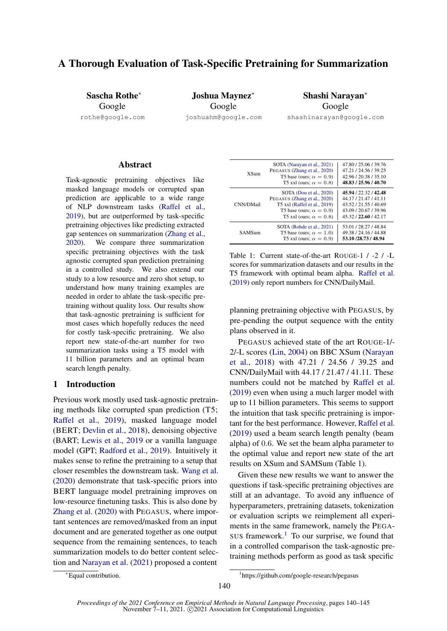# A Thorough Evaluation of Task-Specific Pretraining for Summarization

Sascha Rothe<sup>∗</sup> Google rothe@google.com

Joshua Maynez<sup>∗</sup> Google joshuahm@google.com Shashi Narayan<sup>∗</sup> Google

shashinarayan@google.com

### Abstract

Task-agnostic pretraining objectives like masked language models or corrupted span prediction are applicable to a wide range of NLP downstream tasks [\(Raffel et al.,](#page-4-0) [2019\)](#page-4-0), but are outperformed by task-specific pretraining objectives like predicting extracted gap sentences on summarization [\(Zhang et al.,](#page-5-0) [2020\)](#page-5-0). We compare three summarization specific pretraining objectives with the task agnostic corrupted span prediction pretraining in a controlled study. We also extend our study to a low resource and zero shot setup, to understand how many training examples are needed in order to ablate the task-specific pretraining without quality loss. Our results show that task-agnostic pretraining is sufficient for most cases which hopefully reduces the need for costly task-specific pretraining. We also report new state-of-the-art number for two summarization tasks using a T5 model with 11 billion parameters and an optimal beam search length penalty.

#### 1 Introduction

Previous work mostly used task-agnostic pretraining methods like corrupted span prediction (T5; [Raffel et al.,](#page-4-0) [2019\)](#page-4-0), masked language model (BERT; [Devlin et al.,](#page-4-1) [2018\)](#page-4-1), denoising objective (BART; [Lewis et al.,](#page-4-2) [2019](#page-4-2) or a vanilla language model (GPT; [Radford et al.,](#page-4-3) [2019\)](#page-4-3). Intuitively it makes sense to refine the pretraining to a setup that closer resembles the downstream task. [Wang et al.](#page-5-1) [\(2020\)](#page-5-1) demonstrate that task-specific priors into BERT language model pretraining improves on low-resource finetuning tasks. This is also done by [Zhang et al.](#page-5-0) [\(2020\)](#page-5-0) with PEGASUS, where important sentences are removed/masked from an input document and are generated together as one output sequence from the remaining sentences, to teach summarization models to do better content selection and [Narayan et al.](#page-4-4) [\(2021\)](#page-4-4) proposed a content

<span id="page-0-0"></span>

| XSum             | SOTA (Narayan et al., 2021)<br>PEGASUS (Zhang et al., 2020)<br>T5 base (ours; $\alpha = 0.9$ )<br>T5 xxl (ours; $\alpha = 0.8$ )                             | 47.80 / 25.06 / 39.76<br>47.21 / 24.56 / 39.25<br>42.96 / 20.38 / 35.10<br>48.83 / 25.96 / 40.70                      |
|------------------|--------------------------------------------------------------------------------------------------------------------------------------------------------------|-----------------------------------------------------------------------------------------------------------------------|
| <b>CNN/DMail</b> | SOTA (Dou et al., 2020)<br>PEGASUS (Zhang et al., 2020)<br>T5 xxl (Raffel et al., 2019)<br>T5 base (ours; $\alpha = 0.9$ )<br>T5 xxl (ours; $\alpha = 0.8$ ) | 45.94 / 22.32 / 42.48<br>44.17/21.47/41.11<br>43.52 / 21.55 / 40.69<br>43.09 / 20.67 / 39.96<br>45.32 / 22.60 / 42.17 |
| SAMSum           | SOTA (Rohde et al., 2021)<br>T5 base (ours; $\alpha = 1.0$ )<br>T5 xxl (ours; $\alpha = 0.9$ )                                                               | 53.01 / 28.27 / 48.84<br>49.38 / 24.16 / 44.88<br>53.10 /28.73 / 48.94                                                |

Table 1: Current state-of-the-art ROUGE-1 / -2 / -L scores for summarization datasets and our results in the T5 framework with optimal beam alpha. [Raffel et al.](#page-4-0) [\(2019\)](#page-4-0) only report numbers for CNN/DailyMail.

planning pretraining objective with PEGASUS, by pre-pending the output sequence with the entity plans observed in it.

PEGASUS achieved state of the art ROUGE-1/- 2/-L scores [\(Lin,](#page-4-7) [2004\)](#page-4-7) on BBC XSum [\(Narayan](#page-4-8) [et al.,](#page-4-8) [2018\)](#page-4-8) with 47.21 / 24.56 / 39.25 and CNN/DailyMail with 44.17 / 21.47 / 41.11. These numbers could not be matched by [Raffel et al.](#page-4-0) [\(2019\)](#page-4-0) even when using a much larger model with up to 11 billion parameters. This seems to support the intuition that task specific pretraining is important for the best performance. However, [Raffel et al.](#page-4-0) [\(2019\)](#page-4-0) used a beam search length penalty (beam alpha) of 0.6. We set the beam alpha parameter to the optimal value and report new state of the art results on XSum and SAMSum (Table [1\)](#page-0-0).

Given these new results we want to answer the questions if task-specific pretraining objectives are still at an advantage. To avoid any influence of hyperparameters, pretraining datasets, tokenization or evaluation scripts we reimplement all experiments in the same framework, namely the PEGA-SUS framework.<sup>[1](#page-0-1)</sup> To our surprise, we found that in a controlled comparison the task-agnostic pretraining methods perform as good as task specific

<sup>∗</sup>Equal contribution.

<span id="page-0-1"></span><sup>1</sup> https://github.com/google-research/pegasus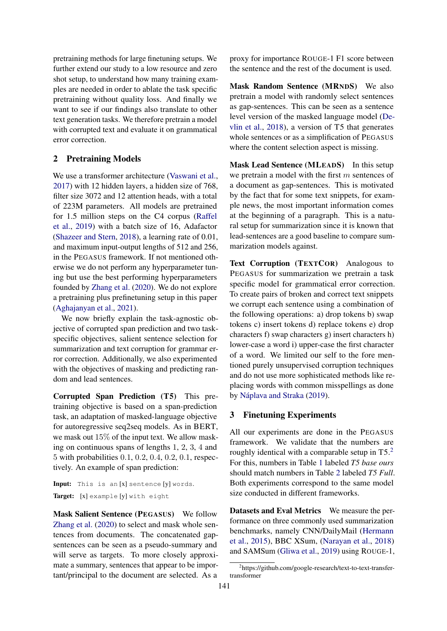pretraining methods for large finetuning setups. We further extend our study to a low resource and zero shot setup, to understand how many training examples are needed in order to ablate the task specific pretraining without quality loss. And finally we want to see if our findings also translate to other text generation tasks. We therefore pretrain a model with corrupted text and evaluate it on grammatical error correction.

### 2 Pretraining Models

We use a transformer architecture [\(Vaswani et al.,](#page-5-2) [2017\)](#page-5-2) with 12 hidden layers, a hidden size of 768, filter size 3072 and 12 attention heads, with a total of 223M parameters. All models are pretrained for 1.5 million steps on the C4 corpus [\(Raffel](#page-4-0) [et al.,](#page-4-0) [2019\)](#page-4-0) with a batch size of 16, Adafactor [\(Shazeer and Stern,](#page-5-3) [2018\)](#page-5-3), a learning rate of 0.01, and maximum input-output lengths of 512 and 256, in the PEGASUS framework. If not mentioned otherwise we do not perform any hyperparameter tuning but use the best performing hyperparameters founded by [Zhang et al.](#page-5-0) [\(2020\)](#page-5-0). We do not explore a pretraining plus prefinetuning setup in this paper [\(Aghajanyan et al.,](#page-4-9) [2021\)](#page-4-9).

We now briefly explain the task-agnostic objective of corrupted span prediction and two taskspecific objectives, salient sentence selection for summarization and text corruption for grammar error correction. Additionally, we also experimented with the objectives of masking and predicting random and lead sentences.

Corrupted Span Prediction (T5) This pretraining objective is based on a span-prediction task, an adaptation of masked-language objective for autoregressive seq2seq models. As in BERT, we mask out 15% of the input text. We allow masking on continuous spans of lengths 1, 2, 3, 4 and 5 with probabilities 0.1, 0.2, 0.4, 0.2, 0.1, respectively. An example of span prediction:

Input: This is an [x] sentence [y] words. Target: [x] example [y] with eight

Mask Salient Sentence (PEGASUS) We follow [Zhang et al.](#page-5-0) [\(2020\)](#page-5-0) to select and mask whole sentences from documents. The concatenated gapsentences can be seen as a pseudo-summary and will serve as targets. To more closely approximate a summary, sentences that appear to be important/principal to the document are selected. As a

proxy for importance ROUGE-1 F1 score between the sentence and the rest of the document is used.

Mask Random Sentence (MRNDS) We also pretrain a model with randomly select sentences as gap-sentences. This can be seen as a sentence level version of the masked language model [\(De](#page-4-1)[vlin et al.,](#page-4-1) [2018\)](#page-4-1), a version of T5 that generates whole sentences or as a simplification of PEGASUS where the content selection aspect is missing.

Mask Lead Sentence (MLEADS) In this setup we pretrain a model with the first  $m$  sentences of a document as gap-sentences. This is motivated by the fact that for some text snippets, for example news, the most important information comes at the beginning of a paragraph. This is a natural setup for summarization since it is known that lead-sentences are a good baseline to compare summarization models against.

Text Corruption (TEXTCOR) Analogous to PEGASUS for summarization we pretrain a task specific model for grammatical error correction. To create pairs of broken and correct text snippets we corrupt each sentence using a combination of the following operations: a) drop tokens b) swap tokens c) insert tokens d) replace tokens e) drop characters f) swap characters g) insert characters h) lower-case a word i) upper-case the first character of a word. We limited our self to the fore mentioned purely unsupervised corruption techniques and do not use more sophisticated methods like replacing words with common misspellings as done by [Náplava and Straka](#page-4-10) [\(2019\)](#page-4-10).

## 3 Finetuning Experiments

All our experiments are done in the PEGASUS framework. We validate that the numbers are roughly identical with a comparable setup in T5.<sup>[2](#page-1-0)</sup> For this, numbers in Table [1](#page-0-0) labeled *T5 base ours* should match numbers in Table [2](#page-2-0) labeled *T5 Full*. Both experiments correspond to the same model size conducted in different frameworks.

Datasets and Eval Metrics We measure the performance on three commonly used summarization benchmarks, namely CNN/DailyMail [\(Hermann](#page-4-11) [et al.,](#page-4-11) [2015\)](#page-4-11), BBC XSum, [\(Narayan et al.,](#page-4-8) [2018\)](#page-4-8) and SAMSum [\(Gliwa et al.,](#page-4-12) [2019\)](#page-4-12) using ROUGE-1,

<span id="page-1-0"></span><sup>2</sup> https://github.com/google-research/text-to-text-transfertransformer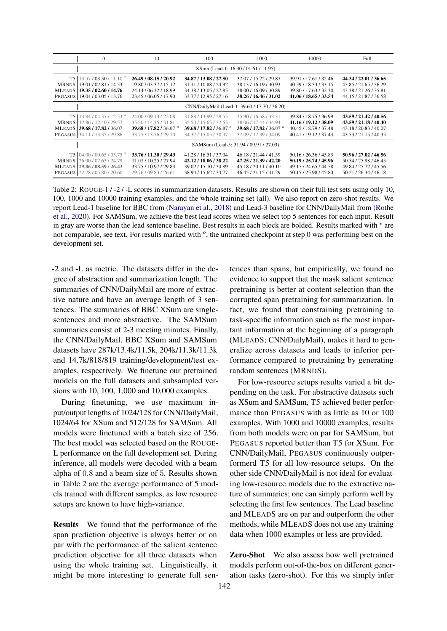<span id="page-2-0"></span>

|                                                              | $\Omega$                                                                                                    | 10                                                                                                 | 100                                                                                                         | 1000                                                                                               | 10000                                                                                            | Full                                                                                             |  |  |  |  |
|--------------------------------------------------------------|-------------------------------------------------------------------------------------------------------------|----------------------------------------------------------------------------------------------------|-------------------------------------------------------------------------------------------------------------|----------------------------------------------------------------------------------------------------|--------------------------------------------------------------------------------------------------|--------------------------------------------------------------------------------------------------|--|--|--|--|
|                                                              | XSum (Lead-1: 16.30 / 01.61 / 11.95)                                                                        |                                                                                                    |                                                                                                             |                                                                                                    |                                                                                                  |                                                                                                  |  |  |  |  |
| <b>MRNDS</b><br><b>MLEADS</b><br>PEGASUS                     | $T5$   13.57 / 03.50 / 11.10 $*$<br>19.01 / 02.81 / 14.53<br>19.35 / 02.60 / 14.76<br>19.04 / 03.05 / 13.76 | 26.49 / 08.15 / 20.92<br>19.80 / 03.37 / 15.12<br>24.14 / 06.32 / 18.99<br>23.45 / 06.05 / 17.90   | 34.87 / 13.08 / 27.50<br>31.11 / 10.88 / 24.92<br>34.38 / 13.05 / 27.85<br>33.77 / 12.95 / 27.16            | 37.07 / 15.22 / 29.87<br>38.13/16.19/30.93<br>38.00 / 16.09 / 30.89<br>38.26 / 16.46 / 31.02       | 39.91 / 17.61 / 32.46<br>40.59 / 18.33 / 33.15<br>39.80 / 17.63 / 32.30<br>41.06 / 18.65 / 33.54 | 44.34 / 22.01 / 36.65<br>43.85 / 21.65 / 36.29<br>43.38 / 21.26 / 35.81<br>44.15 / 21.87 / 36.58 |  |  |  |  |
|                                                              | CNN/DailyMail (Lead-3: 39.60 / 17.70 / 36.20)                                                               |                                                                                                    |                                                                                                             |                                                                                                    |                                                                                                  |                                                                                                  |  |  |  |  |
| T51<br><b>MRNDS</b><br><b>MLEADS</b><br>PEGASUS <sup>1</sup> | 13.84 / 04.37 / 12.53 $*$<br>32.86 / 12.40 / 29.57<br>39.68 / 17.82 / 36.07<br>34.11 / 13.35 / 29.86        | 24.00 / 09.13 / 22.08<br>35.30 / 14.35 / 31.81<br>39.68 / 17.82 / 36.07 °<br>33.75 / 13.76 / 29.70 | 31.88 / 13.99 / 29.55<br>35.53 / 15.65 / 32.53<br>39.68 / 17.82 / 36.07 $^{\circ}$<br>34.37 / 15.05 / 30.97 | 35.90 / 16.58 / 33.31<br>38.06 / 17.44 / 34.94<br>39.68 / 17.82 / 36.07 °<br>37.09 / 17.39 / 34.09 | 39.84 / 18.75 / 36.99<br>41.16 / 19.12 / 38.09<br>40.45 / 18.79 / 37.48<br>40.41 / 19.12 / 37.43 | 43.59 / 21.42 / 40.56<br>43.59 / 21.18 / 40.40<br>43.18 / 20.83 / 40.07<br>43.53 / 21.15 / 40.35 |  |  |  |  |
|                                                              | SAMSum (Lead-5: 31.94 / 09.91 / 27.03)                                                                      |                                                                                                    |                                                                                                             |                                                                                                    |                                                                                                  |                                                                                                  |  |  |  |  |
| <b>MRNDS</b><br><b>MLEADS</b><br>PEGASUS <sup>1</sup>        | $T5$   04.00 / 00.65 / 03.75 $*$<br>26.90 / 07.63 / 24.79<br>29.86 / 08.59 / 26.43<br>22.78 / 05.80 / 20.60 | 33.76 / 11.30 / 29.43<br>31.03 / 10.25 / 27.94<br>33.75 / 10.97 / 29.83<br>29.76 / 09.83 / 26.61   | 41.28 / 16.51 / 37.04<br>42.12/18.06/38.22<br>39.02 / 15.10 / 34.89<br>38.94 / 15.62 / 34.77                | 46.18 / 21.44 / 41.59<br>47.25 / 21.39 / 42.20<br>45.18 / 20.11 / 40.10<br>46.45 / 21.15 / 41.29   | 50.16 / 26.36 / 45.83<br>50.19 / 25.74 / 45.96<br>49.15 / 24.65 / 44.58<br>50.15 / 25.98 / 45.80 | 50.96 / 27.02 / 46.56<br>50.54 / 25.98 / 46.45<br>49.84 / 25.72 / 45.56<br>50.21 / 26.34 / 46.18 |  |  |  |  |

Table 2: ROUGE-1 / -2 / -L scores in summarization datasets. Results are shown on their full test sets using only 10, 100, 1000 and 10000 training examples, and the whole training set (all). We also report on zero-shot results. We report Lead-1 baseline for BBC from [\(Narayan et al.,](#page-4-8) [2018\)](#page-4-8) and Lead-3 baseline for CNN/DailyMail from [\(Rothe](#page-4-13) [et al.,](#page-4-13) [2020\)](#page-4-13). For SAMSum, we achieve the best lead scores when we select top 5 sentences for each input. Result in gray are worse than the lead sentence baseline. Best results in each block are bolded. Results marked with  $*$  are not comparable, see text. For results marked with  $^{\circ}$ , the untrained checkpoint at step 0 was performing best on the development set.

-2 and -L as metric. The datasets differ in the degree of abstraction and summarization length. The summaries of CNN/DailyMail are more of extractive nature and have an average length of 3 sentences. The summaries of BBC XSum are singlesentences and more abstractive. The SAMSum summaries consist of 2-3 meeting minutes. Finally, the CNN/DailyMail, BBC XSum and SAMSum datasets have 287k/13.4k/11.5k, 204k/11.3k/11.3k and 14.7k/818/819 training/development/test examples, respectively. We finetune our pretrained models on the full datasets and subsampled versions with 10, 100, 1,000 and 10,000 examples.

During finetuning, we use maximum input/output lengths of 1024/128 for CNN/DailyMail, 1024/64 for XSum and 512/128 for SAMSum. All models were finetuned with a batch size of 256. The best model was selected based on the ROUGE-L performance on the full development set. During inference, all models were decoded with a beam alpha of 0.8 and a beam size of 5. Results shown in Table [2](#page-2-0) are the average performance of 5 models trained with different samples, as low resource setups are known to have high-variance.

Results We found that the performance of the span prediction objective is always better or on par with the performance of the salient sentence prediction objective for all three datasets when using the whole training set. Linguistically, it might be more interesting to generate full sentences than spans, but empirically, we found no evidence to support that the mask salient sentence pretraining is better at content selection than the corrupted span pretraining for summarization. In fact, we found that constraining pretraining to task-specific information such as the most important information at the beginning of a paragraph (MLEADS; CNN/DailyMail), makes it hard to generalize across datasets and leads to inferior performance compared to pretraining by generating random sentences (MRNDS).

For low-resource setups results varied a bit depending on the task. For abstractive datasets such as XSum and SAMSum, T5 achieved better performance than PEGASUS with as little as 10 or 100 examples. With 1000 and 10000 examples, results from both models were on par for SAMSum, but PEGASUS reported better than T5 for XSum. For CNN/DailyMail, PEGASUS continuously outperformerd T5 for all low-resource setups. On the other side CNN/DailyMail is not ideal for evaluating low-resource models due to the extractive nature of summaries; one can simply perform well by selecting the first few sentences. The Lead baseline and MLEADS are on par and outperform the other methods, while MLEADS does not use any training data when 1000 examples or less are provided.

Zero-Shot We also assess how well pretrained models perform out-of-the-box on different generation tasks (zero-shot). For this we simply infer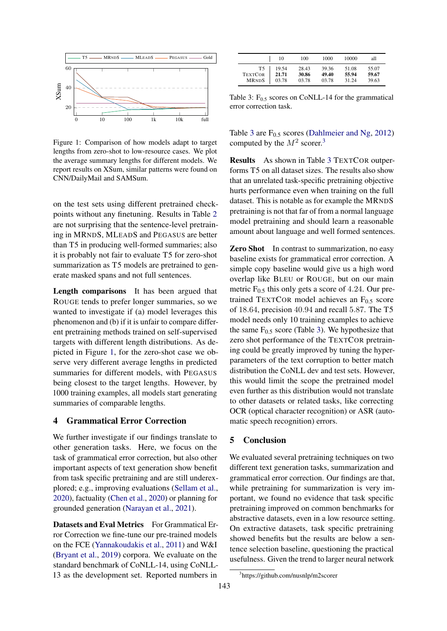<span id="page-3-0"></span>

Figure 1: Comparison of how models adapt to target lengths from zero-shot to low-resource cases. We plot the average summary lengths for different models. We report results on XSum, similar patterns were found on CNN/DailyMail and SAMSum.

on the test sets using different pretrained checkpoints without any finetuning. Results in Table [2](#page-2-0) are not surprising that the sentence-level pretraining in MRNDS, MLEADS and PEGASUS are better than T5 in producing well-formed summaries; also it is probably not fair to evaluate T5 for zero-shot summarization as T5 models are pretrained to generate masked spans and not full sentences.

Length comparisons It has been argued that ROUGE tends to prefer longer summaries, so we wanted to investigate if (a) model leverages this phenomenon and (b) if it is unfair to compare different pretraining methods trained on self-supervised targets with different length distributions. As depicted in Figure [1,](#page-3-0) for the zero-shot case we observe very different average lengths in predicted summaries for different models, with PEGASUS being closest to the target lengths. However, by 1000 training examples, all models start generating summaries of comparable lengths.

### 4 Grammatical Error Correction

We further investigate if our findings translate to other generation tasks. Here, we focus on the task of grammatical error correction, but also other important aspects of text generation show benefit from task specific pretraining and are still underexplored; e.g., improving evaluations [\(Sellam et al.,](#page-5-4) [2020\)](#page-5-4), factuality [\(Chen et al.,](#page-4-14) [2020\)](#page-4-14) or planning for grounded generation [\(Narayan et al.,](#page-4-4) [2021\)](#page-4-4).

Datasets and Eval Metrics For Grammatical Error Correction we fine-tune our pre-trained models on the FCE [\(Yannakoudakis et al.,](#page-5-5) [2011\)](#page-5-5) and W&I [\(Bryant et al.,](#page-4-15) [2019\)](#page-4-15) corpora. We evaluate on the standard benchmark of CoNLL-14, using CoNLL-13 as the development set. Reported numbers in

<span id="page-3-1"></span>

|                | 10    | 100   | 1000  | 10000 | all   |
|----------------|-------|-------|-------|-------|-------|
| T5             | 19.54 | 28.43 | 39.36 | 51.08 | 55.07 |
| <b>TEXTCOR</b> | 21.71 | 30.86 | 49.40 | 55.94 | 59.67 |
| <b>MRNDS</b>   | 03.78 | 03.78 | 03.78 | 31.24 | 39.63 |

Table 3:  $F_{0.5}$  scores on CoNLL-14 for the grammatical error correction task.

Table [3](#page-3-1) are  $F_{0.5}$  scores [\(Dahlmeier and Ng,](#page-4-16) [2012\)](#page-4-16) computed by the  $M^2$  scorer.<sup>[3](#page-3-2)</sup>

Results As shown in Table [3](#page-3-1) TEXTCOR outperforms T5 on all dataset sizes. The results also show that an unrelated task-specific pretraining objective hurts performance even when training on the full dataset. This is notable as for example the MRNDS pretraining is not that far of from a normal language model pretraining and should learn a reasonable amount about language and well formed sentences.

Zero Shot In contrast to summarization, no easy baseline exists for grammatical error correction. A simple copy baseline would give us a high word overlap like BLEU or ROUGE, but on our main metric  $F_{0.5}$  this only gets a score of 4.24. Our pretrained TEXTCOR model achieves an  $F_{0.5}$  score of 18.64, precision 40.94 and recall 5.87. The T5 model needs only 10 training examples to achieve the same  $F_{0.5}$  score (Table [3\)](#page-3-1). We hypothesize that zero shot performance of the TEXTCOR pretraining could be greatly improved by tuning the hyperparameters of the text corruption to better match distribution the CoNLL dev and test sets. However, this would limit the scope the pretrained model even further as this distribution would not translate to other datasets or related tasks, like correcting OCR (optical character recognition) or ASR (automatic speech recognition) errors.

### 5 Conclusion

We evaluated several pretraining techniques on two different text generation tasks, summarization and grammatical error correction. Our findings are that, while pretraining for summarization is very important, we found no evidence that task specific pretraining improved on common benchmarks for abstractive datasets, even in a low resource setting. On extractive datasets, task specific pretraining showed benefits but the results are below a sentence selection baseline, questioning the practical usefulness. Given the trend to larger neural network

<span id="page-3-2"></span><sup>3</sup> https://github.com/nusnlp/m2scorer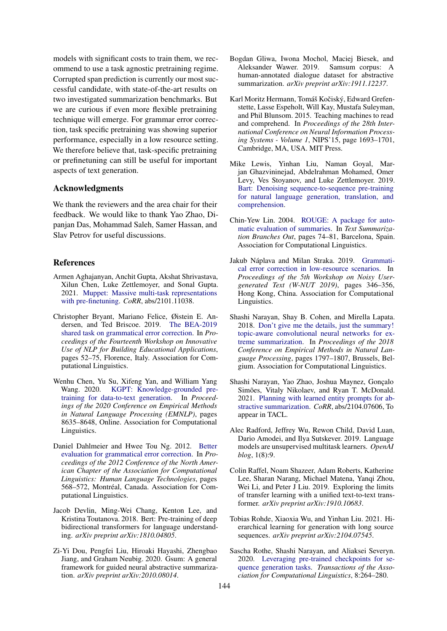models with significant costs to train them, we recommend to use a task agnostic pretraining regime. Corrupted span prediction is currently our most successful candidate, with state-of-the-art results on two investigated summarization benchmarks. But we are curious if even more flexible pretraining technique will emerge. For grammar error correction, task specific pretraining was showing superior performance, especially in a low resource setting. We therefore believe that, task-specific pretraining or prefinetuning can still be useful for important aspects of text generation.

#### Acknowledgments

We thank the reviewers and the area chair for their feedback. We would like to thank Yao Zhao, Dipanjan Das, Mohammad Saleh, Samer Hassan, and Slav Petrov for useful discussions.

#### References

- <span id="page-4-9"></span>Armen Aghajanyan, Anchit Gupta, Akshat Shrivastava, Xilun Chen, Luke Zettlemoyer, and Sonal Gupta. 2021. [Muppet: Massive multi-task representations](http://arxiv.org/abs/2101.11038) [with pre-finetuning.](http://arxiv.org/abs/2101.11038) *CoRR*, abs/2101.11038.
- <span id="page-4-15"></span>Christopher Bryant, Mariano Felice, Øistein E. Andersen, and Ted Briscoe. 2019. [The BEA-2019](https://doi.org/10.18653/v1/W19-4406) [shared task on grammatical error correction.](https://doi.org/10.18653/v1/W19-4406) In *Proceedings of the Fourteenth Workshop on Innovative Use of NLP for Building Educational Applications*, pages 52–75, Florence, Italy. Association for Computational Linguistics.
- <span id="page-4-14"></span>Wenhu Chen, Yu Su, Xifeng Yan, and William Yang Wang. 2020. [KGPT: Knowledge-grounded pre](https://doi.org/10.18653/v1/2020.emnlp-main.697)[training for data-to-text generation.](https://doi.org/10.18653/v1/2020.emnlp-main.697) In *Proceedings of the 2020 Conference on Empirical Methods in Natural Language Processing (EMNLP)*, pages 8635–8648, Online. Association for Computational Linguistics.
- <span id="page-4-16"></span>Daniel Dahlmeier and Hwee Tou Ng. 2012. [Better](https://www.aclweb.org/anthology/N12-1067) [evaluation for grammatical error correction.](https://www.aclweb.org/anthology/N12-1067) In *Proceedings of the 2012 Conference of the North American Chapter of the Association for Computational Linguistics: Human Language Technologies*, pages 568–572, Montréal, Canada. Association for Computational Linguistics.
- <span id="page-4-1"></span>Jacob Devlin, Ming-Wei Chang, Kenton Lee, and Kristina Toutanova. 2018. Bert: Pre-training of deep bidirectional transformers for language understanding. *arXiv preprint arXiv:1810.04805*.
- <span id="page-4-5"></span>Zi-Yi Dou, Pengfei Liu, Hiroaki Hayashi, Zhengbao Jiang, and Graham Neubig. 2020. Gsum: A general framework for guided neural abstractive summarization. *arXiv preprint arXiv:2010.08014*.
- <span id="page-4-12"></span>Bogdan Gliwa, Iwona Mochol, Maciej Biesek, and Aleksander Wawer. 2019. Samsum corpus: A human-annotated dialogue dataset for abstractive summarization. *arXiv preprint arXiv:1911.12237*.
- <span id="page-4-11"></span>Karl Moritz Hermann, Tomáš Kočiský, Edward Grefenstette, Lasse Espeholt, Will Kay, Mustafa Suleyman, and Phil Blunsom. 2015. Teaching machines to read and comprehend. In *Proceedings of the 28th International Conference on Neural Information Processing Systems - Volume 1*, NIPS'15, page 1693–1701, Cambridge, MA, USA. MIT Press.
- <span id="page-4-2"></span>Mike Lewis, Yinhan Liu, Naman Goyal, Marjan Ghazvininejad, Abdelrahman Mohamed, Omer Levy, Ves Stoyanov, and Luke Zettlemoyer. 2019. [Bart: Denoising sequence-to-sequence pre-training](http://arxiv.org/abs/1910.13461) [for natural language generation, translation, and](http://arxiv.org/abs/1910.13461) [comprehension.](http://arxiv.org/abs/1910.13461)
- <span id="page-4-7"></span>Chin-Yew Lin. 2004. [ROUGE: A package for auto](https://www.aclweb.org/anthology/W04-1013)[matic evaluation of summaries.](https://www.aclweb.org/anthology/W04-1013) In *Text Summarization Branches Out*, pages 74–81, Barcelona, Spain. Association for Computational Linguistics.
- <span id="page-4-10"></span>Jakub Náplava and Milan Straka. 2019. [Grammati](https://doi.org/10.18653/v1/D19-5545)[cal error correction in low-resource scenarios.](https://doi.org/10.18653/v1/D19-5545) In *Proceedings of the 5th Workshop on Noisy Usergenerated Text (W-NUT 2019)*, pages 346–356, Hong Kong, China. Association for Computational Linguistics.
- <span id="page-4-8"></span>Shashi Narayan, Shay B. Cohen, and Mirella Lapata. 2018. [Don't give me the details, just the summary!](https://doi.org/10.18653/v1/D18-1206) [topic-aware convolutional neural networks for ex](https://doi.org/10.18653/v1/D18-1206)[treme summarization.](https://doi.org/10.18653/v1/D18-1206) In *Proceedings of the 2018 Conference on Empirical Methods in Natural Language Processing*, pages 1797–1807, Brussels, Belgium. Association for Computational Linguistics.
- <span id="page-4-4"></span>Shashi Narayan, Yao Zhao, Joshua Maynez, Gonçalo Simões, Vitaly Nikolaev, and Ryan T. McDonald. 2021. [Planning with learned entity prompts for ab](https://arxiv.org/abs/2104.07606)[stractive summarization.](https://arxiv.org/abs/2104.07606) *CoRR*, abs/2104.07606, To appear in TACL.
- <span id="page-4-3"></span>Alec Radford, Jeffrey Wu, Rewon Child, David Luan, Dario Amodei, and Ilya Sutskever. 2019. Language models are unsupervised multitask learners. *OpenAI blog*, 1(8):9.
- <span id="page-4-0"></span>Colin Raffel, Noam Shazeer, Adam Roberts, Katherine Lee, Sharan Narang, Michael Matena, Yanqi Zhou, Wei Li, and Peter J Liu. 2019. Exploring the limits of transfer learning with a unified text-to-text transformer. *arXiv preprint arXiv:1910.10683*.
- <span id="page-4-6"></span>Tobias Rohde, Xiaoxia Wu, and Yinhan Liu. 2021. Hierarchical learning for generation with long source sequences. *arXiv preprint arXiv:2104.07545*.
- <span id="page-4-13"></span>Sascha Rothe, Shashi Narayan, and Aliaksei Severyn. 2020. [Leveraging pre-trained checkpoints for se](https://doi.org/10.1162/tacl_a_00313)[quence generation tasks.](https://doi.org/10.1162/tacl_a_00313) *Transactions of the Association for Computational Linguistics*, 8:264–280.